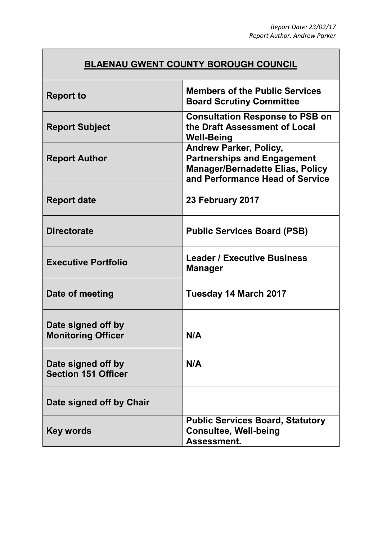# **BLAENAU GWENT COUNTY BOROUGH COUNCIL**

| <b>Report to</b>                                 | <b>Members of the Public Services</b><br><b>Board Scrutiny Committee</b>                                                                          |
|--------------------------------------------------|---------------------------------------------------------------------------------------------------------------------------------------------------|
| <b>Report Subject</b>                            | <b>Consultation Response to PSB on</b><br>the Draft Assessment of Local<br><b>Well-Being</b>                                                      |
| <b>Report Author</b>                             | <b>Andrew Parker, Policy,</b><br><b>Partnerships and Engagement</b><br><b>Manager/Bernadette Elias, Policy</b><br>and Performance Head of Service |
| <b>Report date</b>                               | 23 February 2017                                                                                                                                  |
| <b>Directorate</b>                               | <b>Public Services Board (PSB)</b>                                                                                                                |
| <b>Executive Portfolio</b>                       | <b>Leader / Executive Business</b><br><b>Manager</b>                                                                                              |
| Date of meeting                                  | Tuesday 14 March 2017                                                                                                                             |
| Date signed off by<br><b>Monitoring Officer</b>  | N/A                                                                                                                                               |
| Date signed off by<br><b>Section 151 Officer</b> | N/A                                                                                                                                               |
| Date signed off by Chair                         |                                                                                                                                                   |
| Key words                                        | <b>Public Services Board, Statutory</b><br><b>Consultee, Well-being</b><br>Assessment.                                                            |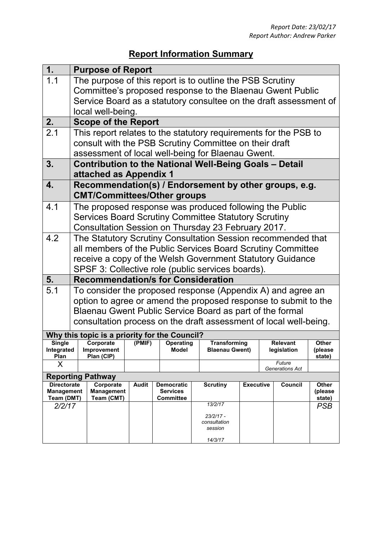# **Report Information Summary**

| 1.                              |                                                                                                                    | <b>Purpose of Report</b>                      |              |                                      |                                                                   |                  |                                |                         |
|---------------------------------|--------------------------------------------------------------------------------------------------------------------|-----------------------------------------------|--------------|--------------------------------------|-------------------------------------------------------------------|------------------|--------------------------------|-------------------------|
| 1.1                             | The purpose of this report is to outline the PSB Scrutiny                                                          |                                               |              |                                      |                                                                   |                  |                                |                         |
|                                 | Committee's proposed response to the Blaenau Gwent Public                                                          |                                               |              |                                      |                                                                   |                  |                                |                         |
|                                 | Service Board as a statutory consultee on the draft assessment of                                                  |                                               |              |                                      |                                                                   |                  |                                |                         |
|                                 | local well-being.                                                                                                  |                                               |              |                                      |                                                                   |                  |                                |                         |
| 2.                              |                                                                                                                    | <b>Scope of the Report</b>                    |              |                                      |                                                                   |                  |                                |                         |
| 2.1                             | This report relates to the statutory requirements for the PSB to                                                   |                                               |              |                                      |                                                                   |                  |                                |                         |
|                                 | consult with the PSB Scrutiny Committee on their draft                                                             |                                               |              |                                      |                                                                   |                  |                                |                         |
|                                 |                                                                                                                    |                                               |              |                                      | assessment of local well-being for Blaenau Gwent.                 |                  |                                |                         |
| 3.                              |                                                                                                                    |                                               |              |                                      | <b>Contribution to the National Well-Being Goals - Detail</b>     |                  |                                |                         |
|                                 | attached as Appendix 1                                                                                             |                                               |              |                                      |                                                                   |                  |                                |                         |
| 4.                              | Recommendation(s) / Endorsement by other groups, e.g.                                                              |                                               |              |                                      |                                                                   |                  |                                |                         |
|                                 | <b>CMT/Committees/Other groups</b>                                                                                 |                                               |              |                                      |                                                                   |                  |                                |                         |
| 4.1                             |                                                                                                                    |                                               |              |                                      | The proposed response was produced following the Public           |                  |                                |                         |
|                                 |                                                                                                                    |                                               |              |                                      | <b>Services Board Scrutiny Committee Statutory Scrutiny</b>       |                  |                                |                         |
|                                 |                                                                                                                    |                                               |              |                                      |                                                                   |                  |                                |                         |
| 4.2                             | Consultation Session on Thursday 23 February 2017.<br>The Statutory Scrutiny Consultation Session recommended that |                                               |              |                                      |                                                                   |                  |                                |                         |
|                                 |                                                                                                                    |                                               |              |                                      |                                                                   |                  |                                |                         |
|                                 | all members of the Public Services Board Scrutiny Committee                                                        |                                               |              |                                      |                                                                   |                  |                                |                         |
|                                 | receive a copy of the Welsh Government Statutory Guidance                                                          |                                               |              |                                      |                                                                   |                  |                                |                         |
| 5.                              | SPSF 3: Collective role (public services boards).<br><b>Recommendation/s for Consideration</b>                     |                                               |              |                                      |                                                                   |                  |                                |                         |
| 5.1                             | To consider the proposed response (Appendix A) and agree an                                                        |                                               |              |                                      |                                                                   |                  |                                |                         |
|                                 |                                                                                                                    |                                               |              |                                      | option to agree or amend the proposed response to submit to the   |                  |                                |                         |
|                                 |                                                                                                                    |                                               |              |                                      |                                                                   |                  |                                |                         |
|                                 |                                                                                                                    |                                               |              |                                      | Blaenau Gwent Public Service Board as part of the formal          |                  |                                |                         |
|                                 |                                                                                                                    |                                               |              |                                      | consultation process on the draft assessment of local well-being. |                  |                                |                         |
|                                 |                                                                                                                    | Why this topic is a priority for the Council? |              |                                      |                                                                   |                  |                                |                         |
| <b>Single</b><br>Integrated     |                                                                                                                    | Corporate<br>Improvement                      | (PMIF)       | <b>Operating</b><br><b>Model</b>     | <b>Transforming</b><br><b>Blaenau Gwent)</b>                      |                  | <b>Relevant</b><br>legislation | <b>Other</b><br>(please |
| Plan                            |                                                                                                                    | Plan (CIP)                                    |              |                                      |                                                                   |                  |                                | state)                  |
| X                               |                                                                                                                    |                                               |              |                                      |                                                                   |                  | Future<br>Generations Act      |                         |
| <b>Reporting Pathway</b>        |                                                                                                                    |                                               |              |                                      |                                                                   |                  |                                |                         |
| <b>Directorate</b>              |                                                                                                                    | Corporate<br><b>Management</b>                | <b>Audit</b> | <b>Democratic</b><br><b>Services</b> | <b>Scrutiny</b>                                                   | <b>Executive</b> | Council                        | <b>Other</b><br>(please |
| <b>Management</b><br>Team (DMT) |                                                                                                                    | Team (CMT)                                    |              | <b>Committee</b>                     |                                                                   |                  |                                | state)                  |
| 2/2/17                          |                                                                                                                    |                                               |              |                                      | 13/2/17                                                           |                  |                                | <b>PSB</b>              |
|                                 |                                                                                                                    |                                               |              |                                      | $23/2/17 -$                                                       |                  |                                |                         |
|                                 |                                                                                                                    |                                               |              |                                      | consultation<br>session                                           |                  |                                |                         |
|                                 |                                                                                                                    |                                               |              |                                      | 14/3/17                                                           |                  |                                |                         |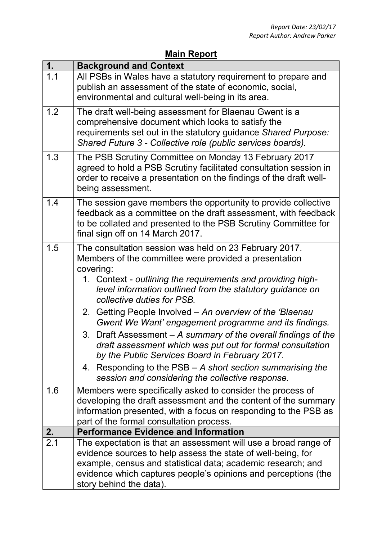### **Main Report**

| 1.               | <b>Background and Context</b>                                                                               |
|------------------|-------------------------------------------------------------------------------------------------------------|
| 1.1              | All PSBs in Wales have a statutory requirement to prepare and                                               |
|                  | publish an assessment of the state of economic, social,                                                     |
|                  | environmental and cultural well-being in its area.                                                          |
| 1.2              | The draft well-being assessment for Blaenau Gwent is a                                                      |
|                  | comprehensive document which looks to satisfy the                                                           |
|                  | requirements set out in the statutory guidance Shared Purpose:                                              |
|                  | Shared Future 3 - Collective role (public services boards).                                                 |
| 1.3              | The PSB Scrutiny Committee on Monday 13 February 2017                                                       |
|                  | agreed to hold a PSB Scrutiny facilitated consultation session in                                           |
|                  | order to receive a presentation on the findings of the draft well-                                          |
|                  | being assessment.                                                                                           |
| 1.4              | The session gave members the opportunity to provide collective                                              |
|                  | feedback as a committee on the draft assessment, with feedback                                              |
|                  | to be collated and presented to the PSB Scrutiny Committee for                                              |
|                  | final sign off on 14 March 2017.                                                                            |
| 1.5              | The consultation session was held on 23 February 2017.                                                      |
|                  | Members of the committee were provided a presentation                                                       |
|                  | covering:                                                                                                   |
|                  | 1. Context - outlining the requirements and providing high-                                                 |
|                  | level information outlined from the statutory guidance on                                                   |
|                  | collective duties for PSB.                                                                                  |
|                  | Getting People Involved – An overview of the 'Blaenau'<br>2.                                                |
|                  | Gwent We Want' engagement programme and its findings.                                                       |
|                  | Draft Assessment – A summary of the overall findings of the<br>3.                                           |
|                  | draft assessment which was put out for formal consultation                                                  |
|                  | by the Public Services Board in February 2017.                                                              |
|                  | 4. Responding to the PSB – A short section summarising the                                                  |
|                  | session and considering the collective response.                                                            |
| 1.6              | Members were specifically asked to consider the process of                                                  |
|                  | developing the draft assessment and the content of the summary                                              |
|                  | information presented, with a focus on responding to the PSB as<br>part of the formal consultation process. |
| 2.               | <b>Performance Evidence and Information</b>                                                                 |
| $\overline{2.1}$ | The expectation is that an assessment will use a broad range of                                             |
|                  | evidence sources to help assess the state of well-being, for                                                |
|                  | example, census and statistical data; academic research; and                                                |
|                  | evidence which captures people's opinions and perceptions (the                                              |
|                  | story behind the data).                                                                                     |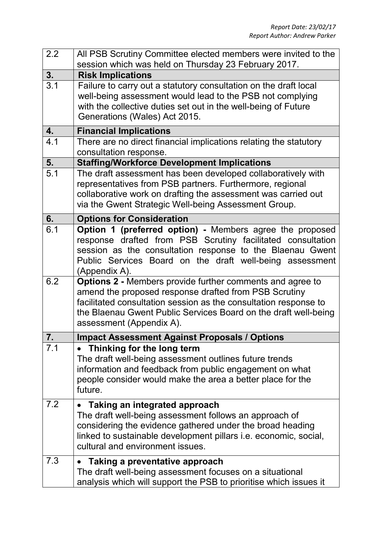| 2.2 | All PSB Scrutiny Committee elected members were invited to the<br>session which was held on Thursday 23 February 2017.                                                                                                                                                                       |
|-----|----------------------------------------------------------------------------------------------------------------------------------------------------------------------------------------------------------------------------------------------------------------------------------------------|
| 3.  | <b>Risk Implications</b>                                                                                                                                                                                                                                                                     |
| 3.1 | Failure to carry out a statutory consultation on the draft local<br>well-being assessment would lead to the PSB not complying<br>with the collective duties set out in the well-being of Future<br>Generations (Wales) Act 2015.                                                             |
| 4.  | <b>Financial Implications</b>                                                                                                                                                                                                                                                                |
| 4.1 | There are no direct financial implications relating the statutory<br>consultation response.                                                                                                                                                                                                  |
| 5.  | <b>Staffing/Workforce Development Implications</b>                                                                                                                                                                                                                                           |
| 5.1 | The draft assessment has been developed collaboratively with<br>representatives from PSB partners. Furthermore, regional<br>collaborative work on drafting the assessment was carried out<br>via the Gwent Strategic Well-being Assessment Group.                                            |
| 6.  | <b>Options for Consideration</b>                                                                                                                                                                                                                                                             |
| 6.1 | Option 1 (preferred option) - Members agree the proposed<br>response drafted from PSB Scrutiny facilitated consultation<br>session as the consultation response to the Blaenau Gwent<br>Public Services Board on the draft well-being assessment<br>(Appendix A).                            |
| 6.2 | <b>Options 2 - Members provide further comments and agree to</b><br>amend the proposed response drafted from PSB Scrutiny<br>facilitated consultation session as the consultation response to<br>the Blaenau Gwent Public Services Board on the draft well-being<br>assessment (Appendix A). |
| 7.  | <b>Impact Assessment Against Proposals / Options</b>                                                                                                                                                                                                                                         |
| 7.1 | Thinking for the long term<br>The draft well-being assessment outlines future trends<br>information and feedback from public engagement on what<br>people consider would make the area a better place for the<br>future.                                                                     |
| 7.2 | <b>Taking an integrated approach</b><br>The draft well-being assessment follows an approach of<br>considering the evidence gathered under the broad heading<br>linked to sustainable development pillars <i>i.e.</i> economic, social,<br>cultural and environment issues.                   |
| 7.3 | Taking a preventative approach<br>$\bullet$<br>The draft well-being assessment focuses on a situational<br>analysis which will support the PSB to prioritise which issues it                                                                                                                 |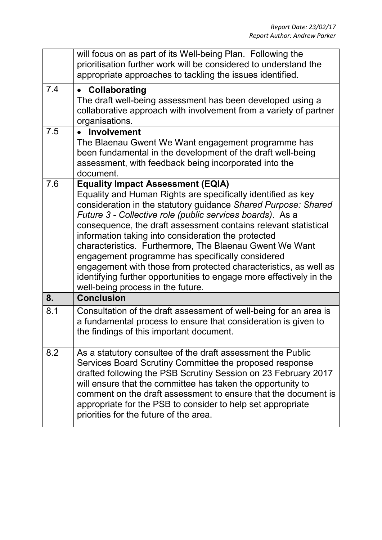|     | will focus on as part of its Well-being Plan. Following the<br>prioritisation further work will be considered to understand the<br>appropriate approaches to tackling the issues identified.                                                                                                                                                                                                                                                                                                                                                                                                                                                                     |
|-----|------------------------------------------------------------------------------------------------------------------------------------------------------------------------------------------------------------------------------------------------------------------------------------------------------------------------------------------------------------------------------------------------------------------------------------------------------------------------------------------------------------------------------------------------------------------------------------------------------------------------------------------------------------------|
| 7.4 | Collaborating<br>$\bullet$<br>The draft well-being assessment has been developed using a<br>collaborative approach with involvement from a variety of partner<br>organisations.                                                                                                                                                                                                                                                                                                                                                                                                                                                                                  |
| 7.5 | • Involvement<br>The Blaenau Gwent We Want engagement programme has<br>been fundamental in the development of the draft well-being<br>assessment, with feedback being incorporated into the<br>document.                                                                                                                                                                                                                                                                                                                                                                                                                                                         |
| 7.6 | <b>Equality Impact Assessment (EQIA)</b><br>Equality and Human Rights are specifically identified as key<br>consideration in the statutory guidance Shared Purpose: Shared<br>Future 3 - Collective role (public services boards). As a<br>consequence, the draft assessment contains relevant statistical<br>information taking into consideration the protected<br>characteristics. Furthermore, The Blaenau Gwent We Want<br>engagement programme has specifically considered<br>engagement with those from protected characteristics, as well as<br>identifying further opportunities to engage more effectively in the<br>well-being process in the future. |
| 8.  | <b>Conclusion</b>                                                                                                                                                                                                                                                                                                                                                                                                                                                                                                                                                                                                                                                |
| 8.1 | Consultation of the draft assessment of well-being for an area is<br>a fundamental process to ensure that consideration is given to<br>the findings of this important document.                                                                                                                                                                                                                                                                                                                                                                                                                                                                                  |
| 8.2 | As a statutory consultee of the draft assessment the Public<br>Services Board Scrutiny Committee the proposed response<br>drafted following the PSB Scrutiny Session on 23 February 2017<br>will ensure that the committee has taken the opportunity to<br>comment on the draft assessment to ensure that the document is<br>appropriate for the PSB to consider to help set appropriate<br>priorities for the future of the area.                                                                                                                                                                                                                               |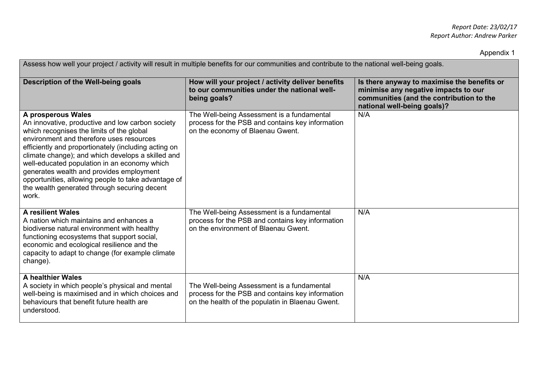Appendix 1

| Assess how well your project / activity will result in multiple benefits for our communities and contribute to the national well-being goals.                                                                                                                                                                                                                                                                                                                                            |                                                                                                                                                    |                                                                                                                                                                |  |  |  |
|------------------------------------------------------------------------------------------------------------------------------------------------------------------------------------------------------------------------------------------------------------------------------------------------------------------------------------------------------------------------------------------------------------------------------------------------------------------------------------------|----------------------------------------------------------------------------------------------------------------------------------------------------|----------------------------------------------------------------------------------------------------------------------------------------------------------------|--|--|--|
| Description of the Well-being goals                                                                                                                                                                                                                                                                                                                                                                                                                                                      | How will your project / activity deliver benefits<br>to our communities under the national well-<br>being goals?                                   | Is there anyway to maximise the benefits or<br>minimise any negative impacts to our<br>communities (and the contribution to the<br>national well-being goals)? |  |  |  |
| A prosperous Wales<br>An innovative, productive and low carbon society<br>which recognises the limits of the global<br>environment and therefore uses resources<br>efficiently and proportionately (including acting on<br>climate change); and which develops a skilled and<br>well-educated population in an economy which<br>generates wealth and provides employment<br>opportunities, allowing people to take advantage of<br>the wealth generated through securing decent<br>work. | The Well-being Assessment is a fundamental<br>process for the PSB and contains key information<br>on the economy of Blaenau Gwent.                 | N/A                                                                                                                                                            |  |  |  |
| <b>A resilient Wales</b><br>A nation which maintains and enhances a<br>biodiverse natural environment with healthy<br>functioning ecosystems that support social,<br>economic and ecological resilience and the<br>capacity to adapt to change (for example climate<br>change).                                                                                                                                                                                                          | The Well-being Assessment is a fundamental<br>process for the PSB and contains key information<br>on the environment of Blaenau Gwent.             | N/A                                                                                                                                                            |  |  |  |
| A healthier Wales<br>A society in which people's physical and mental<br>well-being is maximised and in which choices and<br>behaviours that benefit future health are<br>understood.                                                                                                                                                                                                                                                                                                     | The Well-being Assessment is a fundamental<br>process for the PSB and contains key information<br>on the health of the populatin in Blaenau Gwent. | N/A                                                                                                                                                            |  |  |  |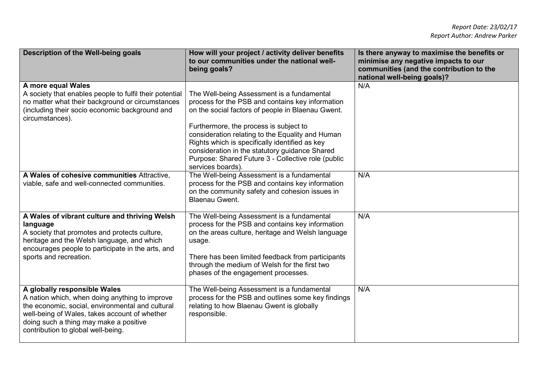| Description of the Well-being goals                                                                                                                                                                                                                                 | How will your project / activity deliver benefits<br>to our communities under the national well-<br>being goals?                                                                                                                                                                                                                                                                                                                 | Is there anyway to maximise the benefits or<br>minimise any negative impacts to our<br>communities (and the contribution to the<br>national well-being goals)? |
|---------------------------------------------------------------------------------------------------------------------------------------------------------------------------------------------------------------------------------------------------------------------|----------------------------------------------------------------------------------------------------------------------------------------------------------------------------------------------------------------------------------------------------------------------------------------------------------------------------------------------------------------------------------------------------------------------------------|----------------------------------------------------------------------------------------------------------------------------------------------------------------|
| A more equal Wales<br>A society that enables people to fulfil their potential<br>no matter what their background or circumstances<br>(including their socio economic background and<br>circumstances).                                                              | The Well-being Assessment is a fundamental<br>process for the PSB and contains key information<br>on the social factors of people in Blaenau Gwent.<br>Furthermore, the process is subject to<br>consideration relating to the Equality and Human<br>Rights which is specifically identified as key<br>consideration in the statutory guidance Shared<br>Purpose: Shared Future 3 - Collective role (public<br>services boards). | N/A                                                                                                                                                            |
| A Wales of cohesive communities Attractive.<br>viable, safe and well-connected communities.                                                                                                                                                                         | The Well-being Assessment is a fundamental<br>process for the PSB and contains key information<br>on the community safety and cohesion issues in<br><b>Blaenau Gwent.</b>                                                                                                                                                                                                                                                        | N/A                                                                                                                                                            |
| A Wales of vibrant culture and thriving Welsh<br>language<br>A society that promotes and protects culture,<br>heritage and the Welsh language, and which<br>encourages people to participate in the arts, and<br>sports and recreation.                             | The Well-being Assessment is a fundamental<br>process for the PSB and contains key information<br>on the areas culture, heritage and Welsh language<br>usage.<br>There has been limited feedback from participants<br>through the medium of Welsh for the first two<br>phases of the engagement processes.                                                                                                                       | N/A                                                                                                                                                            |
| A globally responsible Wales<br>A nation which, when doing anything to improve<br>the economic, social, environmental and cultural<br>well-being of Wales, takes account of whether<br>doing such a thing may make a positive<br>contribution to global well-being. | The Well-being Assessment is a fundamental<br>process for the PSB and outlines some key findings<br>relating to how Blaenau Gwent is globally<br>responsible.                                                                                                                                                                                                                                                                    | N/A                                                                                                                                                            |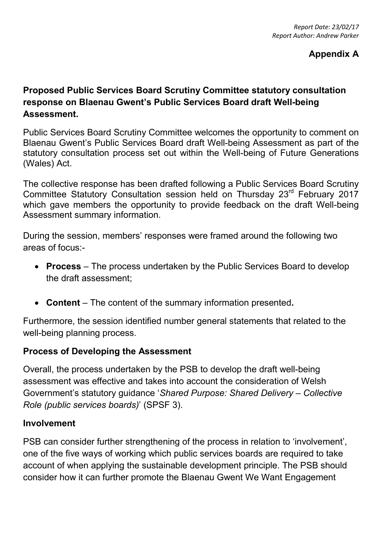### **Appendix A**

## **Proposed Public Services Board Scrutiny Committee statutory consultation response on Blaenau Gwent's Public Services Board draft Well-being Assessment.**

Public Services Board Scrutiny Committee welcomes the opportunity to comment on Blaenau Gwent's Public Services Board draft Well-being Assessment as part of the statutory consultation process set out within the Well-being of Future Generations (Wales) Act.

The collective response has been drafted following a Public Services Board Scrutiny Committee Statutory Consultation session held on Thursday 23<sup>rd</sup> February 2017 which gave members the opportunity to provide feedback on the draft Well-being Assessment summary information.

During the session, members' responses were framed around the following two areas of focus:-

- **Process**  The process undertaken by the Public Services Board to develop the draft assessment;
- **Content**  The content of the summary information presented**.**

Furthermore, the session identified number general statements that related to the well-being planning process.

### **Process of Developing the Assessment**

Overall, the process undertaken by the PSB to develop the draft well-being assessment was effective and takes into account the consideration of Welsh Government's statutory guidance '*Shared Purpose: Shared Delivery – Collective Role (public services boards)*' (SPSF 3).

### **Involvement**

PSB can consider further strengthening of the process in relation to 'involvement', one of the five ways of working which public services boards are required to take account of when applying the sustainable development principle. The PSB should consider how it can further promote the Blaenau Gwent We Want Engagement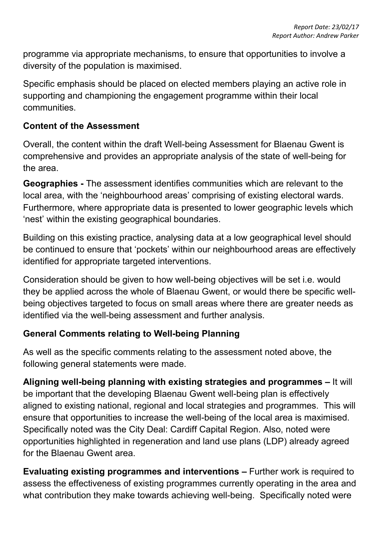programme via appropriate mechanisms, to ensure that opportunities to involve a diversity of the population is maximised.

Specific emphasis should be placed on elected members playing an active role in supporting and championing the engagement programme within their local communities.

### **Content of the Assessment**

Overall, the content within the draft Well-being Assessment for Blaenau Gwent is comprehensive and provides an appropriate analysis of the state of well-being for the area.

**Geographies -** The assessment identifies communities which are relevant to the local area, with the 'neighbourhood areas' comprising of existing electoral wards. Furthermore, where appropriate data is presented to lower geographic levels which 'nest' within the existing geographical boundaries.

Building on this existing practice, analysing data at a low geographical level should be continued to ensure that 'pockets' within our neighbourhood areas are effectively identified for appropriate targeted interventions.

Consideration should be given to how well-being objectives will be set i.e. would they be applied across the whole of Blaenau Gwent, or would there be specific wellbeing objectives targeted to focus on small areas where there are greater needs as identified via the well-being assessment and further analysis.

## **General Comments relating to Well-being Planning**

As well as the specific comments relating to the assessment noted above, the following general statements were made.

**Aligning well-being planning with existing strategies and programmes –** It will be important that the developing Blaenau Gwent well-being plan is effectively aligned to existing national, regional and local strategies and programmes. This will ensure that opportunities to increase the well-being of the local area is maximised. Specifically noted was the City Deal: Cardiff Capital Region. Also, noted were opportunities highlighted in regeneration and land use plans (LDP) already agreed for the Blaenau Gwent area.

**Evaluating existing programmes and interventions –** Further work is required to assess the effectiveness of existing programmes currently operating in the area and what contribution they make towards achieving well-being. Specifically noted were